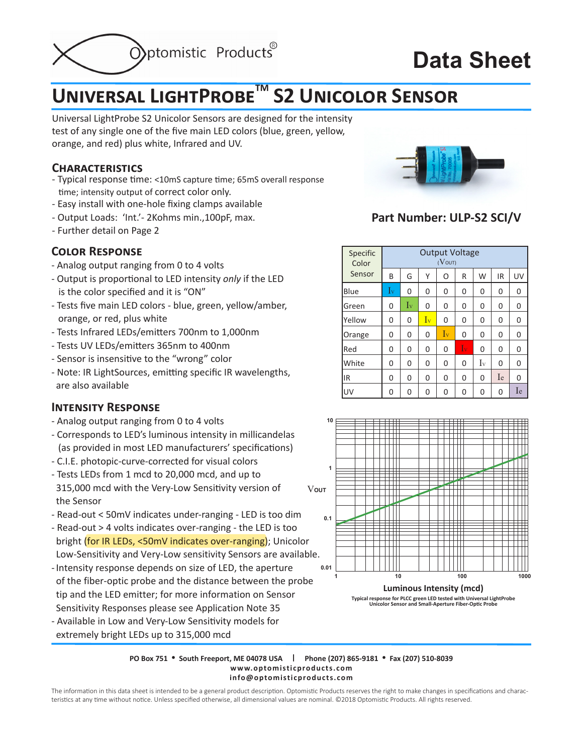

# **Data Sheet**

## **Universal LightProbeTM S2 Unicolor Sensor**

Universal LightProbe S2 Unicolor Sensors are designed for the intensity test of any single one of the five main LED colors (blue, green, yellow, orange, and red) plus white, Infrared and UV.

#### **Characteristics**

- Typical response time: <10mS capture time; 65mS overall response time; intensity output of correct color only.
- Easy install with one-hole fixing clamps available
- Output Loads: 'Int.'- 2Kohms min.,100pF, max.
- Further detail on Page 2

### **Color Response**

- Analog output ranging from 0 to 4 volts
- Output is proportional to LED intensity *only* if the LED is the color specified and it is "ON"
- Tests five main LED colors blue, green, yellow/amber, orange, or red, plus white
- Tests Infrared LEDs/emitters 700nm to 1,000nm
- Tests UV LEDs/emitters 365nm to 400nm
- Sensor is insensitive to the "wrong" color
- Note: IR LightSources, emitting specific IR wavelengths, are also available

### **Intensity Response**

- Analog output ranging from 0 to 4 volts
- Corresponds to LED's luminous intensity in millicandelas (as provided in most LED manufacturers' specifications)
- C.I.E. photopic-curve-corrected for visual colors
- Tests LEDs from 1 mcd to 20,000 mcd, and up to 315,000 mcd with the Very-Low Sensitivity version of the Sensor
- Read-out < 50mV indicates under-ranging LED is too dim
- Read-out > 4 volts indicates over-ranging the LED is too bright (for IR LEDs, <50mV indicates over-ranging); Unicolor Low-Sensitivity and Very-Low sensitivity Sensors are available.
- Intensity response depends on size of LED, the aperture of the fiber-optic probe and the distance between the probe tip and the LED emitter; for more information on Sensor Sensitivity Responses please see Application Note 35
- Available in Low and Very-Low Sensitivity models for extremely bright LEDs up to 315,000 mcd



## **Part Number: ULP-S2 SCI/V**

| Specific<br>Color<br>Sensor | <b>Output Voltage</b><br>$(V_{\text{OUT}})$ |             |    |         |                 |         |    |          |
|-----------------------------|---------------------------------------------|-------------|----|---------|-----------------|---------|----|----------|
|                             | B                                           | G           | Υ  | O       | R               | W       | IR | UV       |
| Blue                        | $I_{v}$                                     | 0           | 0  | 0       | 0               | 0       | 0  | 0        |
| Green                       | 0                                           | $I_{\rm V}$ | 0  | 0       | 0               | 0       | 0  | 0        |
| Yellow                      | 0                                           | 0           | Iv | 0       | 0               | 0       | 0  | 0        |
| Orange                      | 0                                           | 0           | 0  | $I_{v}$ | 0               | 0       | 0  | 0        |
| Red                         | 0                                           | 0           | 0  | 0       | $\overline{1}v$ | 0       | 0  | 0        |
| White                       | 0                                           | 0           | 0  | 0       | 0               | $I_{v}$ | 0  | 0        |
| IR                          | 0                                           | 0           | 0  | 0       | 0               | 0       | Ie | $\Omega$ |
| UV                          | 0                                           | 0           | 0  | 0       | 0               | 0       | 0  | Ie       |





**PO Box 751 • South Freeport, ME 04078 USA | Phone (207) 865-9181 • Fax (207) 510-8039 www.optomisticproducts.com info@optomisticproducts.com**

The information in this data sheet is intended to be a general product description. Optomistic Products reserves the right to make changes in specifications and characteristics at any time without notice. Unless specified otherwise, all dimensional values are nominal. ©2018 Optomistic Products. All rights reserved.